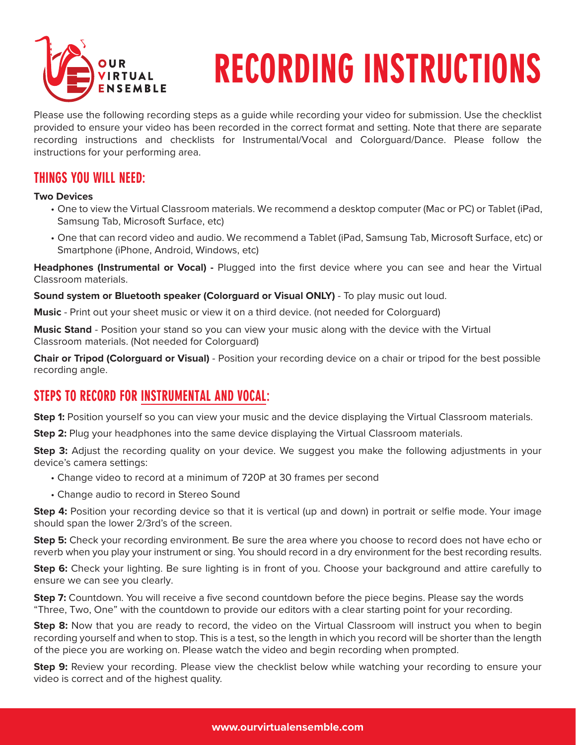

# RECORDING INSTRUCTIONS

Please use the following recording steps as a guide while recording your video for submission. Use the checklist provided to ensure your video has been recorded in the correct format and setting. Note that there are separate recording instructions and checklists for Instrumental/Vocal and Colorguard/Dance. Please follow the instructions for your performing area.

#### **THINGS YOU WILL NEED:**

#### **Two Devices**

- One to view the Virtual Classroom materials. We recommend a desktop computer (Mac or PC) or Tablet (iPad, Samsung Tab, Microsoft Surface, etc)
- One that can record video and audio. We recommend a Tablet (iPad, Samsung Tab, Microsoft Surface, etc) or Smartphone (iPhone, Android, Windows, etc)

**Headphones (Instrumental or Vocal) -** Plugged into the first device where you can see and hear the Virtual Classroom materials.

**Sound system or Bluetooth speaker (Colorguard or Visual ONLY)** - To play music out loud.

**Music** - Print out your sheet music or view it on a third device. (not needed for Colorguard)

**Music Stand** - Position your stand so you can view your music along with the device with the Virtual Classroom materials. (Not needed for Colorguard)

**Chair or Tripod (Colorguard or Visual)** - Position your recording device on a chair or tripod for the best possible recording angle.

#### STEPS TO RECORD FOR INSTRUMENTAL AND VOCAL:

**Step 1:** Position yourself so you can view your music and the device displaying the Virtual Classroom materials.

**Step 2:** Plug your headphones into the same device displaying the Virtual Classroom materials.

**Step 3:** Adjust the recording quality on your device. We suggest you make the following adjustments in your device's camera settings:

- Change video to record at a minimum of 720P at 30 frames per second
- Change audio to record in Stereo Sound

**Step 4:** Position your recording device so that it is vertical (up and down) in portrait or selfie mode. Your image should span the lower 2/3rd's of the screen.

**Step 5:** Check your recording environment. Be sure the area where you choose to record does not have echo or reverb when you play your instrument or sing. You should record in a dry environment for the best recording results.

**Step 6:** Check your lighting. Be sure lighting is in front of you. Choose your background and attire carefully to ensure we can see you clearly.

**Step 7:** Countdown. You will receive a five second countdown before the piece begins. Please say the words "Three, Two, One" with the countdown to provide our editors with a clear starting point for your recording.

**Step 8:** Now that you are ready to record, the video on the Virtual Classroom will instruct you when to begin recording yourself and when to stop. This is a test, so the length in which you record will be shorter than the length of the piece you are working on. Please watch the video and begin recording when prompted.

**Step 9:** Review your recording. Please view the checklist below while watching your recording to ensure your video is correct and of the highest quality.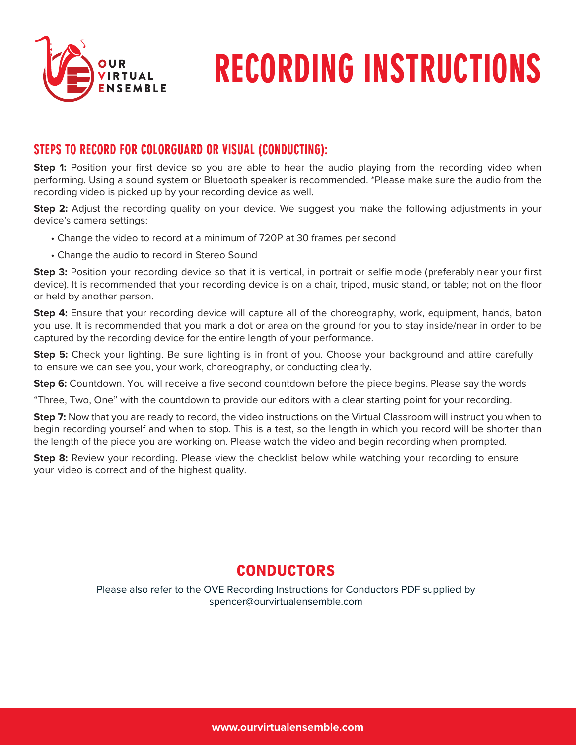

## RECORDING INSTRUCTIONS

#### STEPS TO RECORD FOR COLORGUARD OR VISUAL (CONDUCTING):

**Step 1:** Position your first device so you are able to hear the audio playing from the recording video when performing. Using a sound system or Bluetooth speaker is recommended. \*Please make sure the audio from the recording video is picked up by your recording device as well.

**Step 2:** Adjust the recording quality on your device. We suggest you make the following adjustments in your device's camera settings:

- Change the video to record at a minimum of 720P at 30 frames per second
- Change the audio to record in Stereo Sound

**Step 3:** Position your recording device so that it is vertical, in portrait or selfie mode (preferably near your first device). It is recommended that your recording device is on a chair, tripod, music stand, or table; not on the floor or held by another person.

**Step 4:** Ensure that your recording device will capture all of the choreography, work, equipment, hands, baton you use. It is recommended that you mark a dot or area on the ground for you to stay inside/near in order to be captured by the recording device for the entire length of your performance.

**Step 5:** Check your lighting. Be sure lighting is in front of you. Choose your background and attire carefully to ensure we can see you, your work, choreography, or conducting clearly.

**Step 6:** Countdown. You will receive a five second countdown before the piece begins. Please say the words

"Three, Two, One" with the countdown to provide our editors with a clear starting point for your recording.

**Step 7:** Now that you are ready to record, the video instructions on the Virtual Classroom will instruct you when to begin recording yourself and when to stop. This is a test, so the length in which you record will be shorter than the length of the piece you are working on. Please watch the video and begin recording when prompted.

**Step 8:** Review your recording. Please view the checklist below while watching your recording to ensure your video is correct and of the highest quality.

### CONDUCTORS

Please also refer to the OVE Recording Instructions for Conductors PDF supplied by spencer@ourvirtualensemble.com